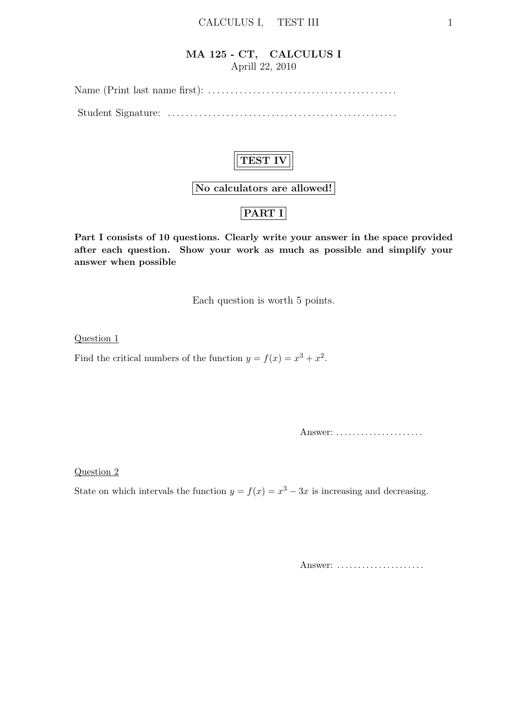#### MA 125 - CT, CALCULUS I Aprill 22, 2010

Name (Print last name first): . . . . . . . . . . . . . . . . . . . . . . . . . . . . . . . . . . . . . . . . . .

Student Signature: . . . . . . . . . . . . . . . . . . . . . . . . . . . . . . . . . . . . . . . . . . . . . . . . . . .



No calculators are allowed!

## PART I

Part I consists of 10 questions. Clearly write your answer in the space provided after each question. Show your work as much as possible and simplify your answer when possible

Each question is worth 5 points.

Question 1

Find the critical numbers of the function  $y = f(x) = x^3 + x^2$ .

Answer: .....................

Question 2

State on which intervals the function  $y = f(x) = x^3 - 3x$  is increasing and decreasing.

Answer: .....................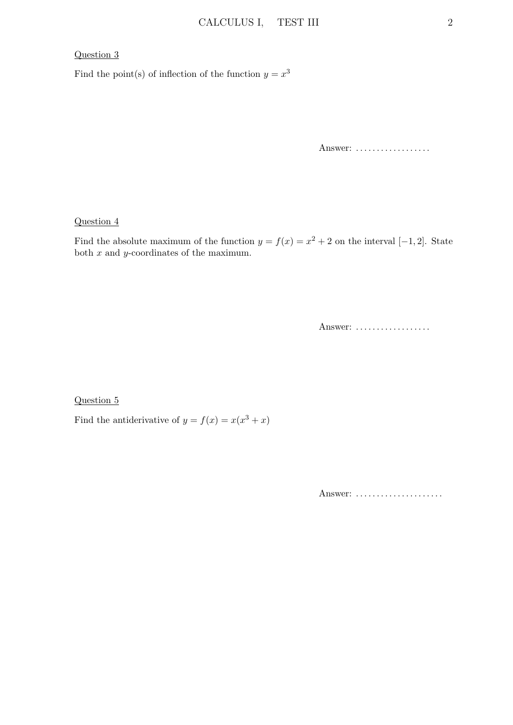#### Question 3

Find the point(s) of inflection of the function  $y = x^3$ 

Answer: ..................

Question 4

Find the absolute maximum of the function  $y = f(x) = x^2 + 2$  on the interval [-1,2]. State both  $x$  and  $y$ -coordinates of the maximum.

Answer: ..................

Question 5

Find the antiderivative of  $y = f(x) = x(x^3 + x)$ 

Answer: .....................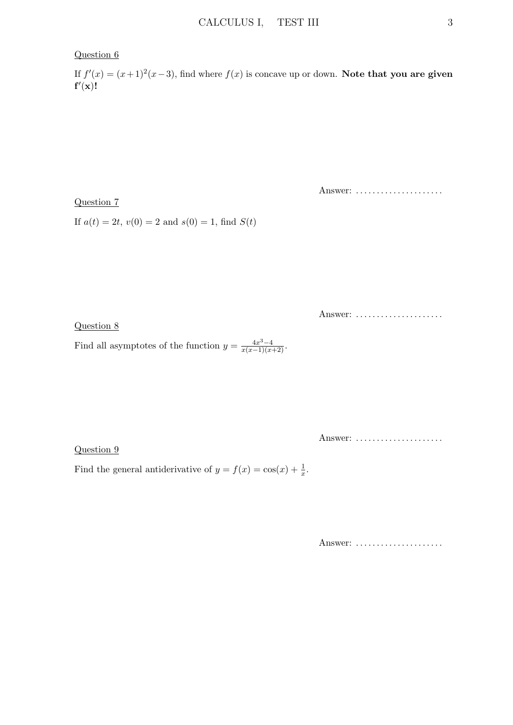#### Question 6

If  $f'(x) = (x+1)^2(x-3)$ , find where  $f(x)$  is concave up or down. Note that you are given  $f'(x)!$ 

Question 7

Answer: ......................

If  $a(t) = 2t$ ,  $v(0) = 2$  and  $s(0) = 1$ , find  $S(t)$ 

Answer: ......................

Question 8

Find all asymptotes of the function  $y = \frac{4x^3 - 4}{x(x-1)(x+2)}$ .

Question 9

Answer: ......................

Find the general antiderivative of  $y = f(x) = \cos(x) + \frac{1}{x}$ .

Answer: .....................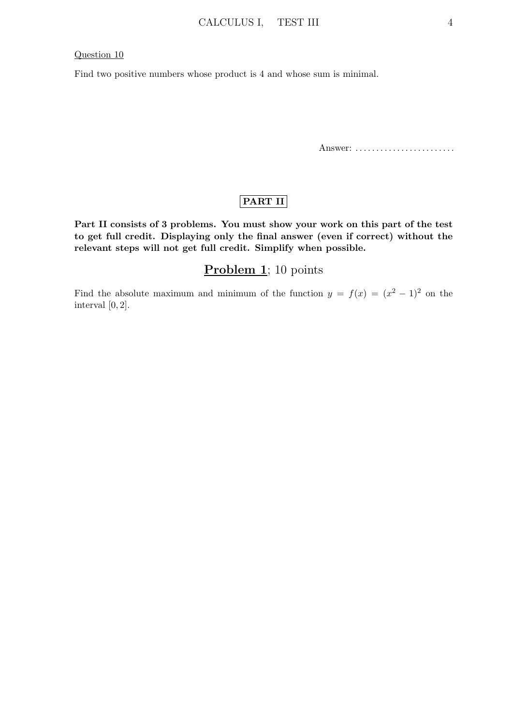#### Question 10

Find two positive numbers whose product is 4 and whose sum is minimal.

Answer: .........................

### PART II

Part II consists of 3 problems. You must show your work on this part of the test to get full credit. Displaying only the final answer (even if correct) without the relevant steps will not get full credit. Simplify when possible.

### Problem 1; 10 points

Find the absolute maximum and minimum of the function  $y = f(x) = (x^2 - 1)^2$  on the interval  $[0, 2]$ .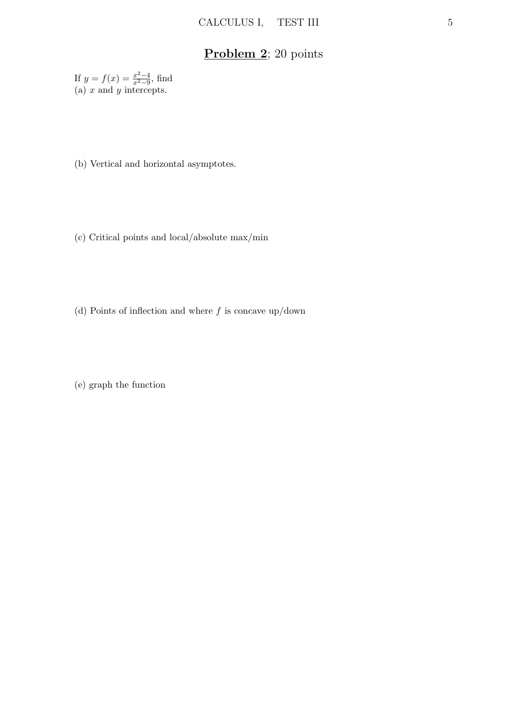# Problem 2; 20 points

If  $y = f(x) = \frac{x^2-4}{x^2-9}$  $\frac{x^2-4}{x^2-9}$ , find (a)  $x$  and  $y$  intercepts.

- (b) Vertical and horizontal asymptotes.
- (c) Critical points and local/absolute max/min
- (d) Points of inflection and where  $f$  is concave up/down

(e) graph the function